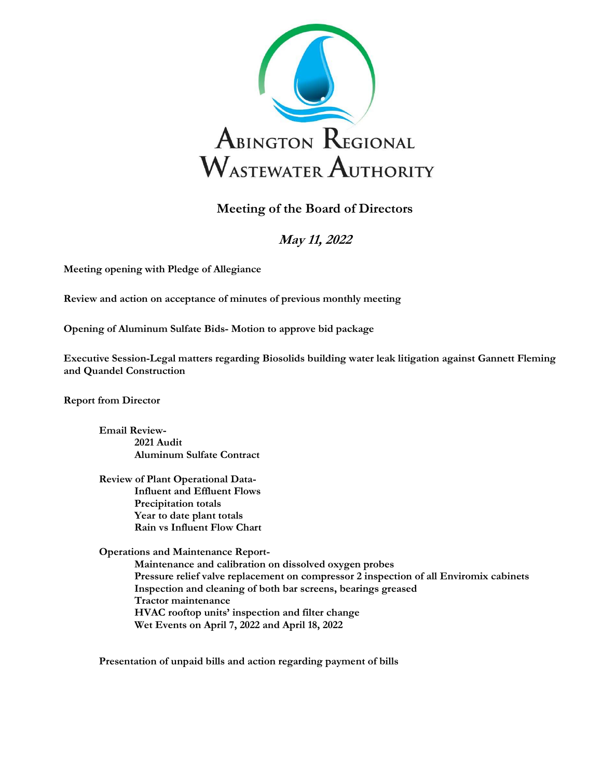

## Meeting of the Board of Directors

## May 11, 2022

Meeting opening with Pledge of Allegiance

Review and action on acceptance of minutes of previous monthly meeting

Opening of Aluminum Sulfate Bids- Motion to approve bid package

Executive Session-Legal matters regarding Biosolids building water leak litigation against Gannett Fleming and Quandel Construction

Report from Director

Email Review-2021 Audit Aluminum Sulfate Contract

 Review of Plant Operational Data- Influent and Effluent Flows Precipitation totals Year to date plant totals Rain vs Influent Flow Chart

Operations and Maintenance Report-

 Maintenance and calibration on dissolved oxygen probes Pressure relief valve replacement on compressor 2 inspection of all Enviromix cabinets Inspection and cleaning of both bar screens, bearings greased Tractor maintenance HVAC rooftop units' inspection and filter change Wet Events on April 7, 2022 and April 18, 2022

Presentation of unpaid bills and action regarding payment of bills